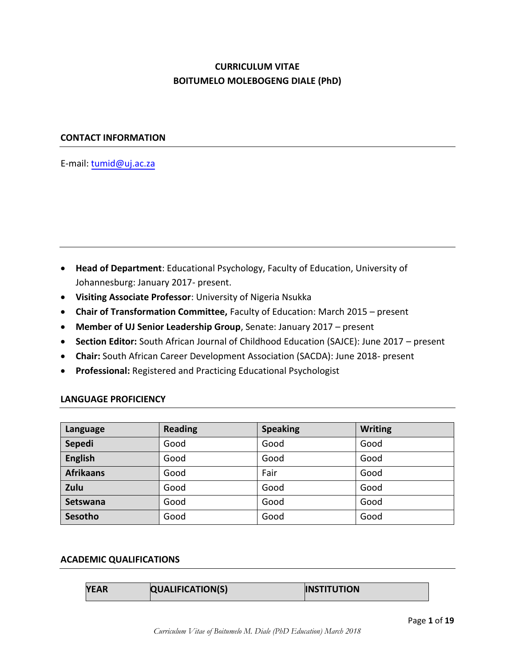## **CURRICULUM VITAE BOITUMELO MOLEBOGENG DIALE (PhD)**

#### **CONTACT INFORMATION**

E-mail: tumid@uj.ac.za

- **Head of Department**: Educational Psychology, Faculty of Education, University of Johannesburg: January 2017- present.
- **Visiting Associate Professor**: University of Nigeria Nsukka
- **Chair of Transformation Committee,** Faculty of Education: March 2015 present
- **Member of UJ Senior Leadership Group**, Senate: January 2017 present
- **Section Editor:** South African Journal of Childhood Education (SAJCE): June 2017 present
- **Chair:** South African Career Development Association (SACDA): June 2018- present
- **Professional:** Registered and Practicing Educational Psychologist

#### **LANGUAGE PROFICIENCY**

| Language         | <b>Reading</b> | <b>Speaking</b> | <b>Writing</b> |
|------------------|----------------|-----------------|----------------|
| Sepedi           | Good           | Good            | Good           |
| <b>English</b>   | Good           | Good            | Good           |
| <b>Afrikaans</b> | Good           | Fair            | Good           |
| Zulu             | Good           | Good            | Good           |
| <b>Setswana</b>  | Good           | Good            | Good           |
| Sesotho          | Good           | Good            | Good           |

#### **ACADEMIC QUALIFICATIONS**

| YEAR | <b>QUALIFICATION(S)</b> | <b>INSTITUTION</b> |
|------|-------------------------|--------------------|
|------|-------------------------|--------------------|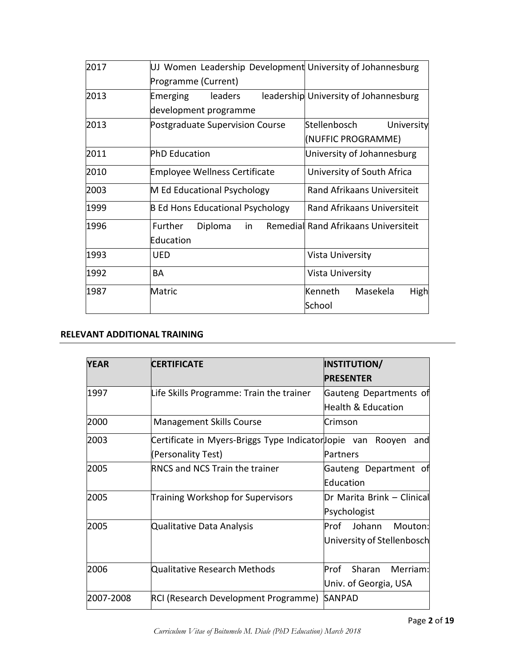| 2017 | UJ Women Leadership Development University of Johannesburg |                                       |
|------|------------------------------------------------------------|---------------------------------------|
|      | Programme (Current)                                        |                                       |
| 2013 | leaders<br>Emerging                                        | leadership University of Johannesburg |
|      | development programme                                      |                                       |
| 2013 | Postgraduate Supervision Course                            | Stellenbosch<br>University            |
|      |                                                            | (NUFFIC PROGRAMME)                    |
| 2011 | <b>PhD Education</b>                                       | University of Johannesburg            |
| 2010 | <b>Employee Wellness Certificate</b>                       | University of South Africa            |
| 2003 | M Ed Educational Psychology                                | <b>Rand Afrikaans Universiteit</b>    |
| 1999 | <b>B Ed Hons Educational Psychology</b>                    | Rand Afrikaans Universiteit           |
| 1996 | in<br>Further<br>Diploma                                   | Remedial Rand Afrikaans Universiteit  |
|      | Education                                                  |                                       |
| 1993 | UED                                                        | Vista University                      |
| 1992 | BA                                                         | Vista University                      |
| 1987 | Matric                                                     | Kenneth<br>Masekela<br>High           |
|      |                                                            | School                                |

## **RELEVANT ADDITIONAL TRAINING**

| <b>YEAR</b> | <b>CERTIFICATE</b>                                         | INSTITUTION/               |
|-------------|------------------------------------------------------------|----------------------------|
|             |                                                            | <b>PRESENTER</b>           |
| 1997        | Life Skills Programme: Train the trainer                   | Gauteng Departments of     |
|             |                                                            | Health & Education         |
| 2000        | <b>Management Skills Course</b>                            | Crimson                    |
| 2003        | Certificate in Myers-Briggs Type Indicatorlopie van Rooyen | and                        |
|             | (Personality Test)                                         | Partners                   |
| 2005        | <b>RNCS and NCS Train the trainer</b>                      | Gauteng Department of      |
|             |                                                            | Education                  |
| 2005        | Training Workshop for Supervisors                          | Dr Marita Brink - Clinical |
|             |                                                            | Psychologist               |
| 2005        | Qualitative Data Analysis                                  | Prof Johann<br>Mouton:     |
|             |                                                            | University of Stellenbosch |
| 2006        | Qualitative Research Methods                               | Sharan<br>Merriam:<br>Prof |
|             |                                                            | Univ. of Georgia, USA      |
| 2007-2008   | RCI (Research Development Programme)                       | <b>SANPAD</b>              |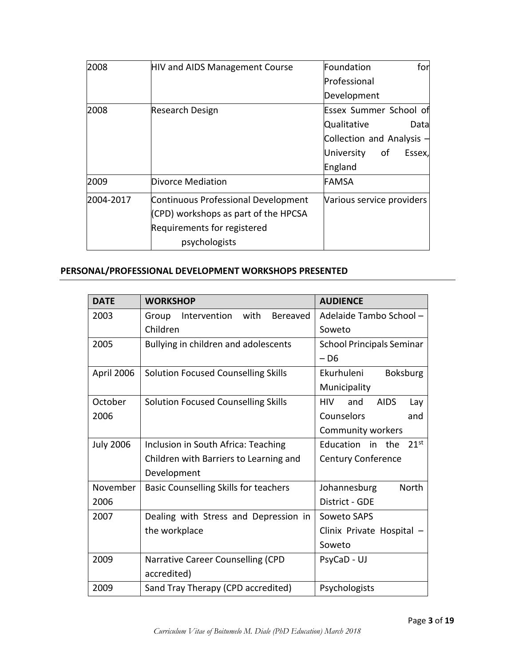| 2008      | <b>HIV and AIDS Management Course</b> | for<br>Foundation           |
|-----------|---------------------------------------|-----------------------------|
|           |                                       | Professional                |
|           |                                       | Development                 |
| 2008      | Research Design                       | Essex Summer School of      |
|           |                                       | Qualitative<br>Datal        |
|           |                                       | Collection and Analysis $-$ |
|           |                                       | University<br>of<br>Essex,  |
|           |                                       | England                     |
| 2009      | Divorce Mediation                     | FAMSA                       |
| 2004-2017 | Continuous Professional Development   | Various service providers   |
|           | (CPD) workshops as part of the HPCSA  |                             |
|           | Requirements for registered           |                             |
|           | psychologists                         |                             |

# **PERSONAL/PROFESSIONAL DEVELOPMENT WORKSHOPS PRESENTED**

| <b>DATE</b>      | <b>WORKSHOP</b>                                  | <b>AUDIENCE</b>                         |
|------------------|--------------------------------------------------|-----------------------------------------|
| 2003             | Intervention<br>with<br><b>Bereaved</b><br>Group | Adelaide Tambo School -                 |
|                  | Children                                         | Soweto                                  |
| 2005             | Bullying in children and adolescents             | <b>School Principals Seminar</b>        |
|                  |                                                  | – D6                                    |
| April 2006       | <b>Solution Focused Counselling Skills</b>       | Ekurhuleni<br><b>Boksburg</b>           |
|                  |                                                  | Municipality                            |
| October          | <b>Solution Focused Counselling Skills</b>       | <b>HIV</b><br><b>AIDS</b><br>and<br>Lay |
| 2006             |                                                  | Counselors<br>and                       |
|                  |                                                  | Community workers                       |
| <b>July 2006</b> | Inclusion in South Africa: Teaching              | $21^{st}$<br>Education in the           |
|                  | Children with Barriers to Learning and           | <b>Century Conference</b>               |
|                  | Development                                      |                                         |
| November         | <b>Basic Counselling Skills for teachers</b>     | <b>North</b><br>Johannesburg            |
| 2006             |                                                  | District - GDE                          |
| 2007             | Dealing with Stress and Depression in            | Soweto SAPS                             |
|                  | the workplace                                    | Clinix Private Hospital                 |
|                  |                                                  | Soweto                                  |
| 2009             | Narrative Career Counselling (CPD                | PsyCaD - UJ                             |
|                  | accredited)                                      |                                         |
| 2009             | Sand Tray Therapy (CPD accredited)               | Psychologists                           |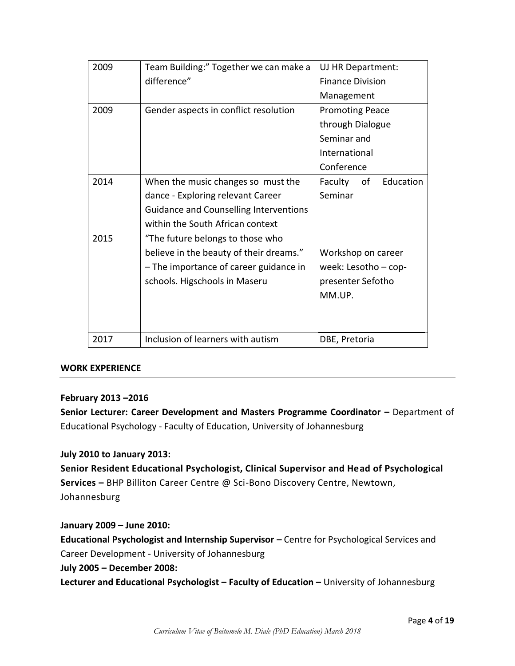| 2009 | Team Building:" Together we can make a        | UJ HR Department:          |
|------|-----------------------------------------------|----------------------------|
|      | difference"                                   | <b>Finance Division</b>    |
|      |                                               | Management                 |
| 2009 | Gender aspects in conflict resolution         | <b>Promoting Peace</b>     |
|      |                                               | through Dialogue           |
|      |                                               | Seminar and                |
|      |                                               | International              |
|      |                                               | Conference                 |
| 2014 | When the music changes so must the            | Education<br>Faculty<br>of |
|      | dance - Exploring relevant Career             | Seminar                    |
|      | <b>Guidance and Counselling Interventions</b> |                            |
|      | within the South African context              |                            |
| 2015 | "The future belongs to those who              |                            |
|      | believe in the beauty of their dreams."       | Workshop on career         |
|      | - The importance of career guidance in        | week: Lesotho $-$ cop-     |
|      | schools. Higschools in Maseru                 | presenter Sefotho          |
|      |                                               | MM.UP.                     |
|      |                                               |                            |
|      |                                               |                            |
| 2017 | Inclusion of learners with autism             | DBE, Pretoria              |

#### **WORK EXPERIENCE**

#### **February 2013 –2016**

**Senior Lecturer: Career Development and Masters Programme Coordinator –** Department of Educational Psychology - Faculty of Education, University of Johannesburg

#### **July 2010 to January 2013:**

**Senior Resident Educational Psychologist, Clinical Supervisor and Head of Psychological Services –** BHP Billiton Career Centre @ Sci-Bono Discovery Centre, Newtown, Johannesburg

**January 2009 – June 2010: Educational Psychologist and Internship Supervisor – Centre for Psychological Services and** Career Development - University of Johannesburg **July 2005 – December 2008: Lecturer and Educational Psychologist – Faculty of Education –** University of Johannesburg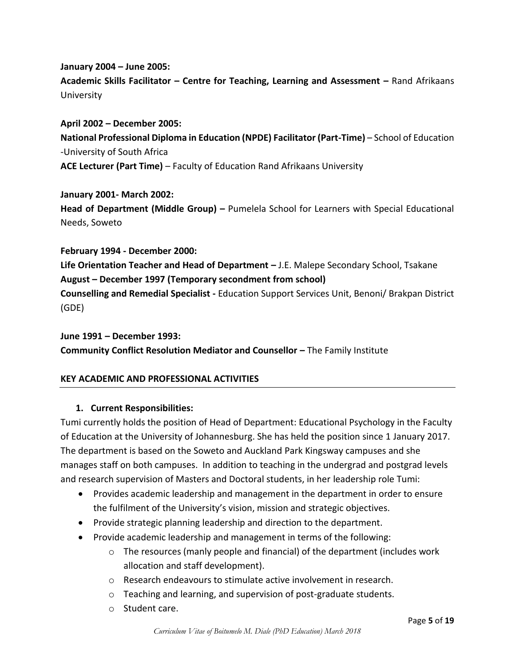## **January 2004 – June 2005: Academic Skills Facilitator – Centre for Teaching, Learning and Assessment –** Rand Afrikaans University

**April 2002 – December 2005: National Professional Diploma in Education (NPDE) Facilitator (Part-Time)** - School of Education -University of South Africa **ACE Lecturer (Part Time)** – Faculty of Education Rand Afrikaans University

**January 2001- March 2002: Head of Department (Middle Group) –** Pumelela School for Learners with Special Educational Needs, Soweto

**February 1994 - December 2000: Life Orientation Teacher and Head of Department –** J.E. Malepe Secondary School, Tsakane **August – December 1997 (Temporary secondment from school) Counselling and Remedial Specialist -** Education Support Services Unit, Benoni/ Brakpan District (GDE)

**June 1991 – December 1993: Community Conflict Resolution Mediator and Counsellor - The Family Institute** 

## **KEY ACADEMIC AND PROFESSIONAL ACTIVITIES**

#### **1. Current Responsibilities:**

Tumi currently holds the position of Head of Department: Educational Psychology in the Faculty of Education at the University of Johannesburg. She has held the position since 1 January 2017. The department is based on the Soweto and Auckland Park Kingsway campuses and she manages staff on both campuses. In addition to teaching in the undergrad and postgrad levels and research supervision of Masters and Doctoral students, in her leadership role Tumi:

- Provides academic leadership and management in the department in order to ensure the fulfilment of the University's vision, mission and strategic objectives.
- Provide strategic planning leadership and direction to the department.
- Provide academic leadership and management in terms of the following:
	- $\circ$  The resources (manly people and financial) of the department (includes work allocation and staff development).
	- o Research endeavours to stimulate active involvement in research.
	- o Teaching and learning, and supervision of post-graduate students.
	- o Student care.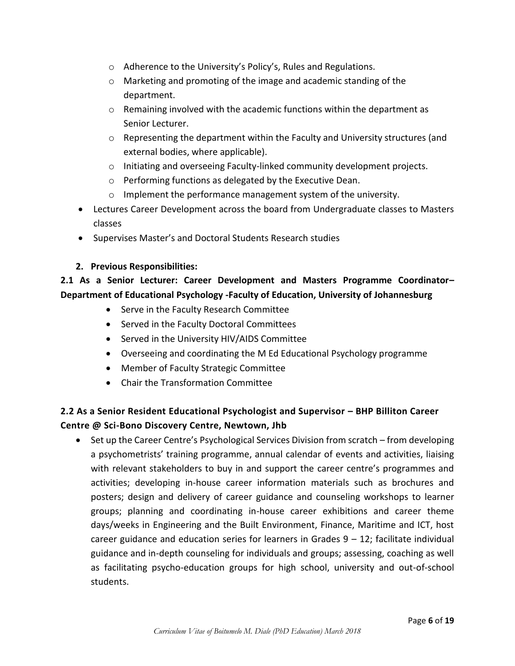- o Adherence to the University's Policy's, Rules and Regulations.
- o Marketing and promoting of the image and academic standing of the department.
- $\circ$  Remaining involved with the academic functions within the department as Senior Lecturer.
- o Representing the department within the Faculty and University structures (and external bodies, where applicable).
- o Initiating and overseeing Faculty-linked community development projects.
- o Performing functions as delegated by the Executive Dean.
- o Implement the performance management system of the university.
- Lectures Career Development across the board from Undergraduate classes to Masters classes
- Supervises Master's and Doctoral Students Research studies

#### **2. Previous Responsibilities:**

## **2.1 As a Senior Lecturer: Career Development and Masters Programme Coordinator– Department of Educational Psychology -Faculty of Education, University of Johannesburg**

- Serve in the Faculty Research Committee
- Served in the Faculty Doctoral Committees
- Served in the University HIV/AIDS Committee
- Overseeing and coordinating the M Ed Educational Psychology programme
- Member of Faculty Strategic Committee
- Chair the Transformation Committee

## **2.2 As a Senior Resident Educational Psychologist and Supervisor – BHP Billiton Career Centre @ Sci-Bono Discovery Centre, Newtown, Jhb**

• Set up the Career Centre's Psychological Services Division from scratch – from developing a psychometrists' training programme, annual calendar of events and activities, liaising with relevant stakeholders to buy in and support the career centre's programmes and activities; developing in-house career information materials such as brochures and posters; design and delivery of career guidance and counseling workshops to learner groups; planning and coordinating in-house career exhibitions and career theme days/weeks in Engineering and the Built Environment, Finance, Maritime and ICT, host career guidance and education series for learners in Grades  $9 - 12$ ; facilitate individual guidance and in-depth counseling for individuals and groups; assessing, coaching as well as facilitating psycho-education groups for high school, university and out-of-school students.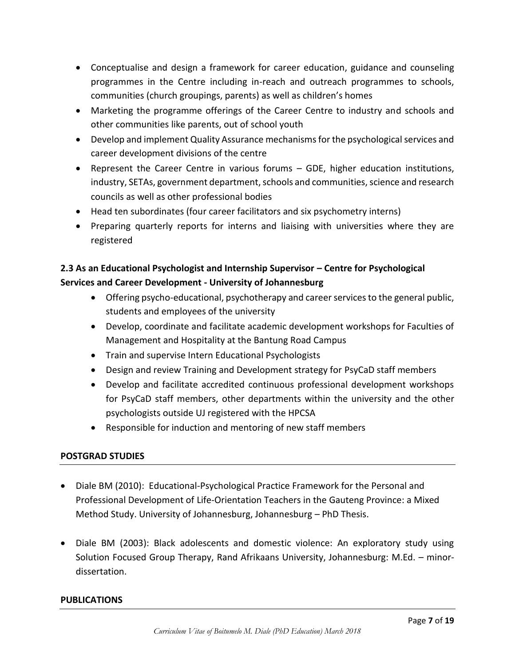- Conceptualise and design a framework for career education, guidance and counseling programmes in the Centre including in-reach and outreach programmes to schools, communities (church groupings, parents) as well as children's homes
- Marketing the programme offerings of the Career Centre to industry and schools and other communities like parents, out of school youth
- Develop and implement Quality Assurance mechanisms for the psychological services and career development divisions of the centre
- Represent the Career Centre in various forums GDE, higher education institutions, industry, SETAs, government department, schools and communities, science and research councils as well as other professional bodies
- Head ten subordinates (four career facilitators and six psychometry interns)
- Preparing quarterly reports for interns and liaising with universities where they are registered

## **2.3 As an Educational Psychologist and Internship Supervisor – Centre for Psychological Services and Career Development - University of Johannesburg**

- Offering psycho-educational, psychotherapy and career services to the general public, students and employees of the university
- Develop, coordinate and facilitate academic development workshops for Faculties of Management and Hospitality at the Bantung Road Campus
- Train and supervise Intern Educational Psychologists
- Design and review Training and Development strategy for PsyCaD staff members
- Develop and facilitate accredited continuous professional development workshops for PsyCaD staff members, other departments within the university and the other psychologists outside UJ registered with the HPCSA
- Responsible for induction and mentoring of new staff members

## **POSTGRAD STUDIES**

- Diale BM (2010): Educational-Psychological Practice Framework for the Personal and Professional Development of Life-Orientation Teachers in the Gauteng Province: a Mixed Method Study. University of Johannesburg, Johannesburg – PhD Thesis.
- Diale BM (2003): Black adolescents and domestic violence: An exploratory study using Solution Focused Group Therapy, Rand Afrikaans University, Johannesburg: M.Ed. – minordissertation.

## **PUBLICATIONS**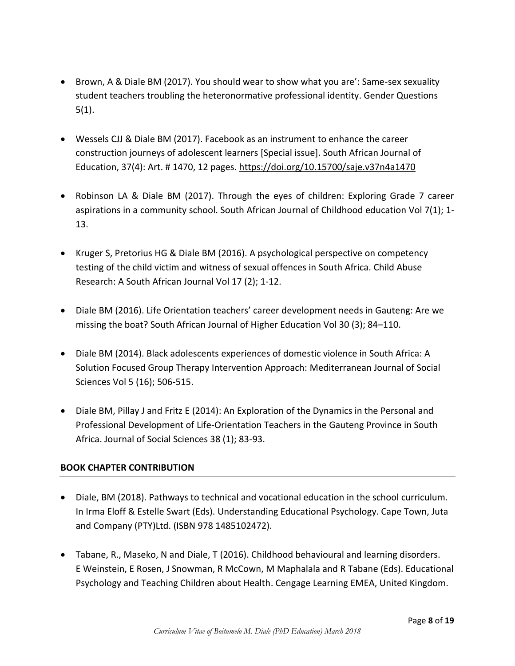- Brown, A & Diale BM (2017). You should wear to show what you are': Same-sex sexuality student teachers troubling the heteronormative professional identity. Gender Questions 5(1).
- Wessels CJJ & Diale BM (2017). Facebook as an instrument to enhance the career construction journeys of adolescent learners [Special issue]. South African Journal of Education, 37(4): Art. # 1470, 12 pages.<https://doi.org/10.15700/saje.v37n4a1470>
- Robinson LA & Diale BM (2017). Through the eyes of children: Exploring Grade 7 career aspirations in a community school. South African Journal of Childhood education Vol 7(1); 1- 13.
- Kruger S, Pretorius HG & Diale BM (2016). A psychological perspective on competency testing of the child victim and witness of sexual offences in South Africa. Child Abuse Research: A South African Journal Vol 17 (2); 1-12.
- Diale BM (2016). Life Orientation teachers' career development needs in Gauteng: Are we missing the boat? South African Journal of Higher Education Vol 30 (3); 84-110.
- Diale BM (2014). Black adolescents experiences of domestic violence in South Africa: A Solution Focused Group Therapy Intervention Approach: Mediterranean Journal of Social Sciences Vol 5 (16); 506-515.
- Diale BM, Pillay J and Fritz E (2014): An Exploration of the Dynamics in the Personal and Professional Development of Life-Orientation Teachers in the Gauteng Province in South Africa. Journal of Social Sciences 38 (1); 83-93.

## **BOOK CHAPTER CONTRIBUTION**

- Diale, BM (2018). Pathways to technical and vocational education in the school curriculum. In Irma Eloff & Estelle Swart (Eds). Understanding Educational Psychology. Cape Town, Juta and Company (PTY)Ltd. (ISBN 978 1485102472).
- Tabane, R., Maseko, N and Diale, T (2016). Childhood behavioural and learning disorders. E Weinstein, E Rosen, J Snowman, R McCown, M Maphalala and R Tabane (Eds). Educational Psychology and Teaching Children about Health. Cengage Learning EMEA, United Kingdom.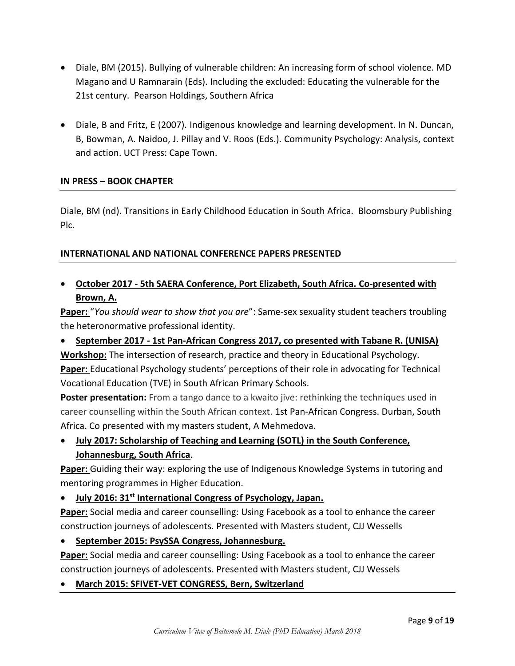- Diale, BM (2015). Bullying of vulnerable children: An increasing form of school violence. MD Magano and U Ramnarain (Eds). Including the excluded: Educating the vulnerable for the 21st century. Pearson Holdings, Southern Africa
- Diale, B and Fritz, E (2007). Indigenous knowledge and learning development. In N. Duncan, B, Bowman, A. Naidoo, J. Pillay and V. Roos (Eds.). Community Psychology: Analysis, context and action. UCT Press: Cape Town.

#### **IN PRESS – BOOK CHAPTER**

Diale, BM (nd). Transitions in Early Childhood Education in South Africa. Bloomsbury Publishing Plc.

#### **INTERNATIONAL AND NATIONAL CONFERENCE PAPERS PRESENTED**

## **October 2017 - 5th SAERA Conference, Port Elizabeth, South Africa. Co-presented with Brown, A.**

**Paper:** "*You should wear to show that you are*": Same-sex sexuality student teachers troubling the heteronormative professional identity.

## **September 2017 - 1st Pan-African Congress 2017, co presented with Tabane R. (UNISA)**

**Workshop:** The intersection of research, practice and theory in Educational Psychology. **Paper:** Educational Psychology students' perceptions of their role in advocating for Technical Vocational Education (TVE) in South African Primary Schools.

**Poster presentation:** From a tango dance to a kwaito jive: rethinking the techniques used in career counselling within the South African context. 1st Pan-African Congress. Durban, South Africa. Co presented with my masters student, A Mehmedova.

## **July 2017: Scholarship of Teaching and Learning (SOTL) in the South Conference, Johannesburg, South Africa**.

**Paper:** Guiding their way: exploring the use of Indigenous Knowledge Systems in tutoring and mentoring programmes in Higher Education.

## **July 2016: 31st International Congress of Psychology, Japan.**

**Paper:** Social media and career counselling: Using Facebook as a tool to enhance the career construction journeys of adolescents. Presented with Masters student, CJJ Wessells

## **September 2015: PsySSA Congress, Johannesburg.**

**Paper:** Social media and career counselling: Using Facebook as a tool to enhance the career construction journeys of adolescents. Presented with Masters student, CJJ Wessels

## **March 2015: SFIVET-VET CONGRESS, Bern, Switzerland**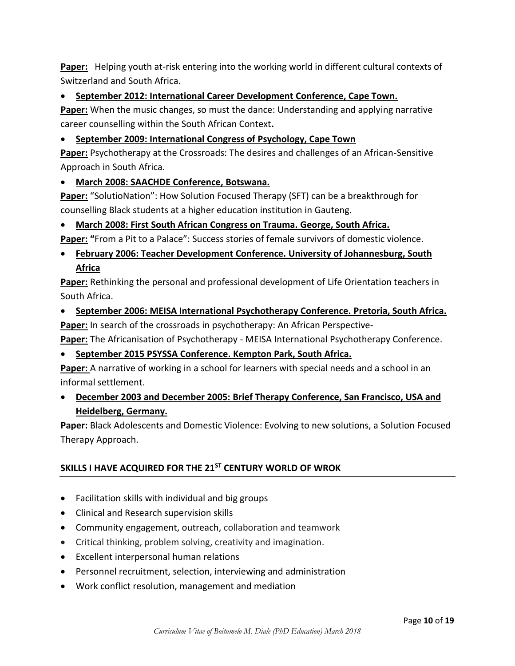**Paper:** Helping youth at-risk entering into the working world in different cultural contexts of Switzerland and South Africa.

**September 2012: International Career Development Conference, Cape Town.**

**Paper:** When the music changes, so must the dance: Understanding and applying narrative career counselling within the South African Context**.** 

## **September 2009: International Congress of Psychology, Cape Town**

**Paper:** Psychotherapy at the Crossroads: The desires and challenges of an African-Sensitive Approach in South Africa.

## **March 2008: SAACHDE Conference, Botswana.**

**Paper:** "SolutioNation": How Solution Focused Therapy (SFT) can be a breakthrough for counselling Black students at a higher education institution in Gauteng.

## **March 2008: First South African Congress on Trauma. George, South Africa.**

**Paper: "**From a Pit to a Palace": Success stories of female survivors of domestic violence.

## **February 2006: Teacher Development Conference. University of Johannesburg, South Africa**

**Paper:** Rethinking the personal and professional development of Life Orientation teachers in South Africa.

**September 2006: MEISA International Psychotherapy Conference. Pretoria, South Africa.**

**Paper:** In search of the crossroads in psychotherapy: An African Perspective-

**Paper:** The Africanisation of Psychotherapy - MEISA International Psychotherapy Conference.

**September 2015 PSYSSA Conference. Kempton Park, South Africa.**

**Paper:** A narrative of working in a school for learners with special needs and a school in an informal settlement.

 **December 2003 and December 2005: Brief Therapy Conference, San Francisco, USA and Heidelberg, Germany.**

**Paper:** Black Adolescents and Domestic Violence: Evolving to new solutions, a Solution Focused Therapy Approach.

## **SKILLS I HAVE ACQUIRED FOR THE 21ST CENTURY WORLD OF WROK**

- Facilitation skills with individual and big groups
- Clinical and Research supervision skills
- Community engagement, outreach, collaboration and teamwork
- Critical thinking, problem solving, creativity and imagination.
- Excellent interpersonal human relations
- Personnel recruitment, selection, interviewing and administration
- Work conflict resolution, management and mediation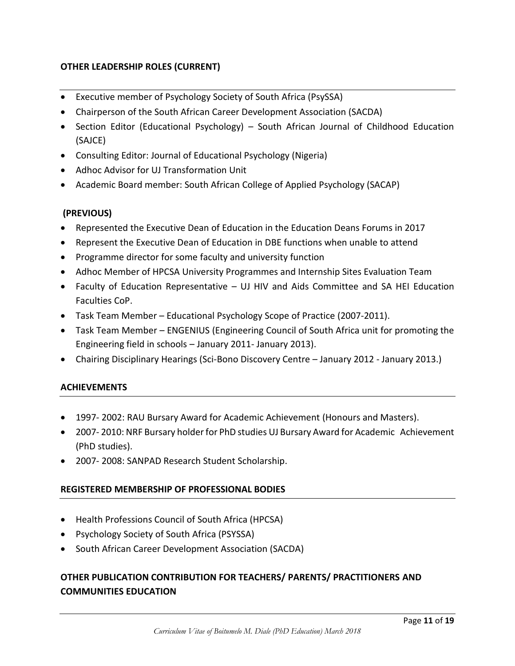## **OTHER LEADERSHIP ROLES (CURRENT)**

- Executive member of Psychology Society of South Africa (PsySSA)
- Chairperson of the South African Career Development Association (SACDA)
- Section Editor (Educational Psychology) South African Journal of Childhood Education (SAJCE)
- Consulting Editor: Journal of Educational Psychology (Nigeria)
- Adhoc Advisor for UJ Transformation Unit
- Academic Board member: South African College of Applied Psychology (SACAP)

## **(PREVIOUS)**

- Represented the Executive Dean of Education in the Education Deans Forums in 2017
- Represent the Executive Dean of Education in DBE functions when unable to attend
- Programme director for some faculty and university function
- Adhoc Member of HPCSA University Programmes and Internship Sites Evaluation Team
- Faculty of Education Representative UJ HIV and Aids Committee and SA HEI Education Faculties CoP.
- Task Team Member Educational Psychology Scope of Practice (2007-2011).
- Task Team Member ENGENIUS (Engineering Council of South Africa unit for promoting the Engineering field in schools – January 2011- January 2013).
- Chairing Disciplinary Hearings (Sci-Bono Discovery Centre January 2012 January 2013.)

#### **ACHIEVEMENTS**

- 1997- 2002: RAU Bursary Award for Academic Achievement (Honours and Masters).
- 2007- 2010: NRF Bursary holder for PhD studies UJ Bursary Award for Academic Achievement (PhD studies).
- 2007- 2008: SANPAD Research Student Scholarship.

#### **REGISTERED MEMBERSHIP OF PROFESSIONAL BODIES**

- Health Professions Council of South Africa (HPCSA)
- Psychology Society of South Africa (PSYSSA)
- South African Career Development Association (SACDA)

## **OTHER PUBLICATION CONTRIBUTION FOR TEACHERS/ PARENTS/ PRACTITIONERS AND COMMUNITIES EDUCATION**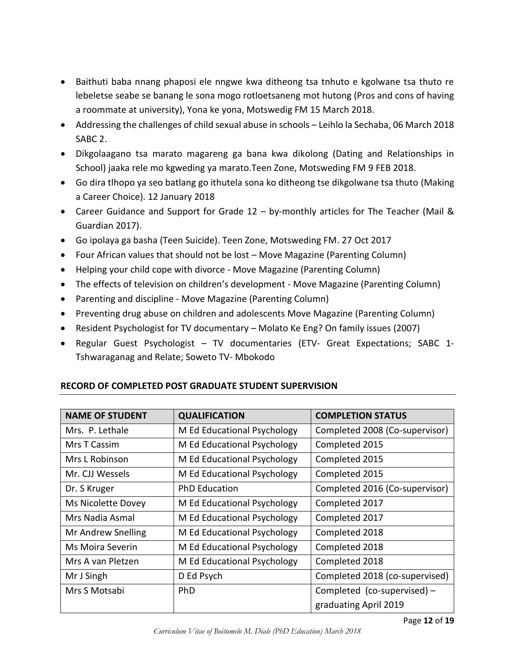- Baithuti baba nnang phaposi ele nngwe kwa ditheong tsa tnhuto e kgolwane tsa thuto re lebeletse seabe se banang le sona mogo rotloetsaneng mot hutong (Pros and cons of having a roommate at university), Yona ke yona, Motswedig FM 15 March 2018.
- Addressing the challenges of child sexual abuse in schools Leihlo la Sechaba, 06 March 2018 SABC 2.
- Dikgolaagano tsa marato magareng ga bana kwa dikolong (Dating and Relationships in School) jaaka rele mo kgweding ya marato.Teen Zone, Motsweding FM 9 FEB 2018.
- Go dira tlhopo ya seo batlang go ithutela sona ko ditheong tse dikgolwane tsa thuto (Making a Career Choice). 12 January 2018
- Career Guidance and Support for Grade 12 by-monthly articles for The Teacher (Mail & Guardian 2017).
- Go ipolaya ga basha (Teen Suicide). Teen Zone, Motsweding FM. 27 Oct 2017
- Four African values that should not be lost Move Magazine (Parenting Column)
- Helping your child cope with divorce Move Magazine (Parenting Column)
- The effects of television on children's development Move Magazine (Parenting Column)
- Parenting and discipline Move Magazine (Parenting Column)
- Preventing drug abuse on children and adolescents Move Magazine (Parenting Column)
- Resident Psychologist for TV documentary Molato Ke Eng? On family issues (2007)
- Regular Guest Psychologist TV documentaries (ETV- Great Expectations; SABC 1- Tshwaraganag and Relate; Soweto TV- Mbokodo

| <b>NAME OF STUDENT</b> | <b>QUALIFICATION</b>        | <b>COMPLETION STATUS</b>       |
|------------------------|-----------------------------|--------------------------------|
| Mrs. P. Lethale        | M Ed Educational Psychology | Completed 2008 (Co-supervisor) |
| Mrs T Cassim           | M Ed Educational Psychology | Completed 2015                 |
| Mrs L Robinson         | M Ed Educational Psychology | Completed 2015                 |
| Mr. CJJ Wessels        | M Ed Educational Psychology | Completed 2015                 |
| Dr. S Kruger           | <b>PhD Education</b>        | Completed 2016 (Co-supervisor) |
| Ms Nicolette Dovey     | M Ed Educational Psychology | Completed 2017                 |
| Mrs Nadia Asmal        | M Ed Educational Psychology | Completed 2017                 |
| Mr Andrew Snelling     | M Ed Educational Psychology | Completed 2018                 |
| Ms Moira Severin       | M Ed Educational Psychology | Completed 2018                 |
| Mrs A van Pletzen      | M Ed Educational Psychology | Completed 2018                 |
| Mr J Singh             | D Ed Psych                  | Completed 2018 (co-supervised) |
| Mrs S Motsabi          | <b>PhD</b>                  | Completed (co-supervised) -    |
|                        |                             | graduating April 2019          |

## **RECORD OF COMPLETED POST GRADUATE STUDENT SUPERVISION**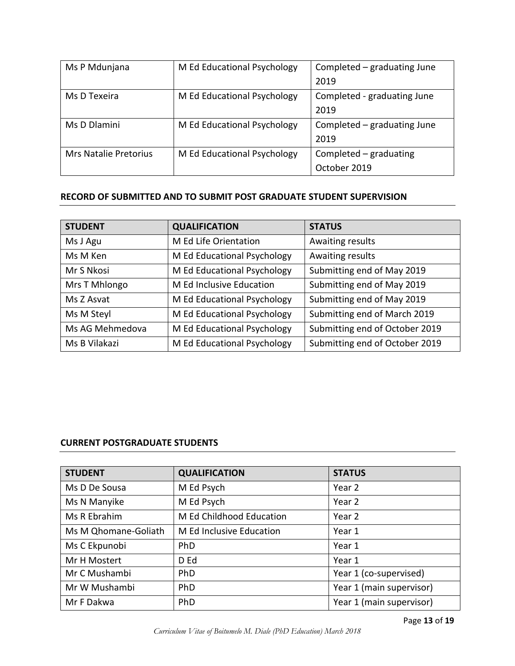| Ms P Mdunjana                | M Ed Educational Psychology | Completed - graduating June |
|------------------------------|-----------------------------|-----------------------------|
|                              |                             | 2019                        |
| Ms D Texeira                 | M Ed Educational Psychology | Completed - graduating June |
|                              |                             | 2019                        |
| Ms D Dlamini                 | M Ed Educational Psychology | Completed – graduating June |
|                              |                             | 2019                        |
| <b>Mrs Natalie Pretorius</b> | M Ed Educational Psychology | Completed - graduating      |
|                              |                             | October 2019                |

#### **RECORD OF SUBMITTED AND TO SUBMIT POST GRADUATE STUDENT SUPERVISION**

| <b>STUDENT</b>  | <b>QUALIFICATION</b>        | <b>STATUS</b>                  |
|-----------------|-----------------------------|--------------------------------|
| Ms J Agu        | M Ed Life Orientation       | Awaiting results               |
| Ms M Ken        | M Ed Educational Psychology | Awaiting results               |
| Mr S Nkosi      | M Ed Educational Psychology | Submitting end of May 2019     |
| Mrs T Mhlongo   | M Ed Inclusive Education    | Submitting end of May 2019     |
| Ms Z Asvat      | M Ed Educational Psychology | Submitting end of May 2019     |
| Ms M Steyl      | M Ed Educational Psychology | Submitting end of March 2019   |
| Ms AG Mehmedova | M Ed Educational Psychology | Submitting end of October 2019 |
| Ms B Vilakazi   | M Ed Educational Psychology | Submitting end of October 2019 |

#### **CURRENT POSTGRADUATE STUDENTS**

| <b>STUDENT</b>       | <b>QUALIFICATION</b>     | <b>STATUS</b>            |
|----------------------|--------------------------|--------------------------|
| Ms D De Sousa        | M Ed Psych               | Year 2                   |
| Ms N Manyike         | M Ed Psych               | Year 2                   |
| Ms R Ebrahim         | M Ed Childhood Education | Year 2                   |
| Ms M Qhomane-Goliath | M Ed Inclusive Education | Year 1                   |
| Ms C Ekpunobi        | <b>PhD</b>               | Year 1                   |
| Mr H Mostert         | D Ed                     | Year 1                   |
| Mr C Mushambi        | <b>PhD</b>               | Year 1 (co-supervised)   |
| Mr W Mushambi        | <b>PhD</b>               | Year 1 (main supervisor) |
| Mr F Dakwa           | PhD                      | Year 1 (main supervisor) |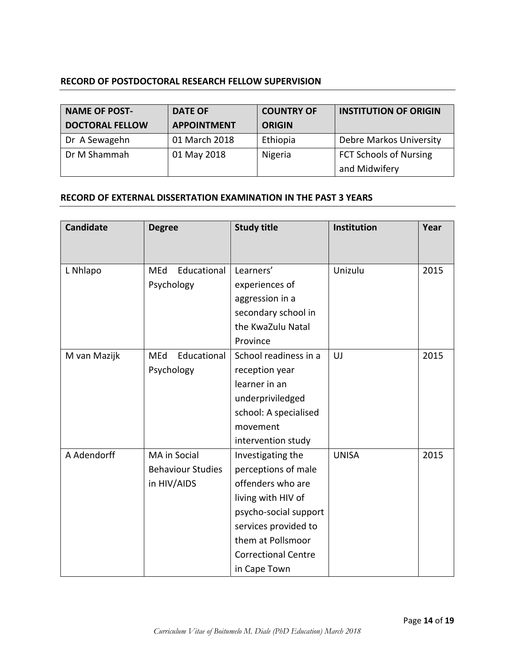### **RECORD OF POSTDOCTORAL RESEARCH FELLOW SUPERVISION**

| <b>NAME OF POST-</b>   | <b>DATE OF</b>     | <b>COUNTRY OF</b> | <b>INSTITUTION OF ORIGIN</b>  |
|------------------------|--------------------|-------------------|-------------------------------|
| <b>DOCTORAL FELLOW</b> | <b>APPOINTMENT</b> | <b>ORIGIN</b>     |                               |
| Dr A Sewagehn          | 01 March 2018      | Ethiopia          | Debre Markos University       |
| Dr M Shammah           | 01 May 2018        | Nigeria           | <b>FCT Schools of Nursing</b> |
|                        |                    |                   | and Midwifery                 |

#### **RECORD OF EXTERNAL DISSERTATION EXAMINATION IN THE PAST 3 YEARS**

| <b>Candidate</b> | <b>Degree</b>             | <b>Study title</b>         | Institution  | Year |
|------------------|---------------------------|----------------------------|--------------|------|
|                  |                           |                            |              |      |
| L Nhlapo         | Educational<br><b>MEd</b> | Learners'                  | Unizulu      | 2015 |
|                  | Psychology                | experiences of             |              |      |
|                  |                           | aggression in a            |              |      |
|                  |                           | secondary school in        |              |      |
|                  |                           | the KwaZulu Natal          |              |      |
|                  |                           | Province                   |              |      |
| M van Mazijk     | Educational<br>MEd        | School readiness in a      | UJ           | 2015 |
|                  | Psychology                | reception year             |              |      |
|                  |                           | learner in an              |              |      |
|                  |                           | underpriviledged           |              |      |
|                  |                           | school: A specialised      |              |      |
|                  |                           | movement                   |              |      |
|                  |                           | intervention study         |              |      |
| A Adendorff      | MA in Social              | Investigating the          | <b>UNISA</b> | 2015 |
|                  | <b>Behaviour Studies</b>  | perceptions of male        |              |      |
|                  | in HIV/AIDS               | offenders who are          |              |      |
|                  |                           | living with HIV of         |              |      |
|                  |                           | psycho-social support      |              |      |
|                  |                           | services provided to       |              |      |
|                  |                           | them at Pollsmoor          |              |      |
|                  |                           | <b>Correctional Centre</b> |              |      |
|                  |                           | in Cape Town               |              |      |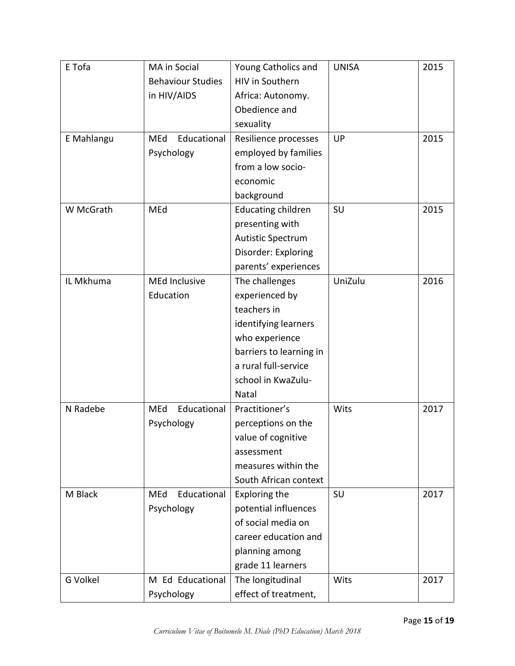| E Tofa     | MA in Social             | Young Catholics and       | <b>UNISA</b> | 2015 |
|------------|--------------------------|---------------------------|--------------|------|
|            | <b>Behaviour Studies</b> | <b>HIV in Southern</b>    |              |      |
|            | in HIV/AIDS              | Africa: Autonomy.         |              |      |
|            |                          | Obedience and             |              |      |
|            |                          | sexuality                 |              |      |
| E Mahlangu | Educational<br>MEd       | Resilience processes      | UP           | 2015 |
|            | Psychology               | employed by families      |              |      |
|            |                          | from a low socio-         |              |      |
|            |                          | economic                  |              |      |
|            |                          | background                |              |      |
| W McGrath  | MEd                      | <b>Educating children</b> | SU           | 2015 |
|            |                          | presenting with           |              |      |
|            |                          | <b>Autistic Spectrum</b>  |              |      |
|            |                          | Disorder: Exploring       |              |      |
|            |                          | parents' experiences      |              |      |
| IL Mkhuma  | <b>MEd Inclusive</b>     | The challenges            | UniZulu      | 2016 |
|            | Education                | experienced by            |              |      |
|            |                          | teachers in               |              |      |
|            |                          | identifying learners      |              |      |
|            |                          | who experience            |              |      |
|            |                          | barriers to learning in   |              |      |
|            |                          | a rural full-service      |              |      |
|            |                          | school in KwaZulu-        |              |      |
|            |                          | <b>Natal</b>              |              |      |
| N Radebe   | Educational<br>MEd       | Practitioner's            | Wits         | 2017 |
|            | Psychology               | perceptions on the        |              |      |
|            |                          | value of cognitive        |              |      |
|            |                          | assessment                |              |      |
|            |                          | measures within the       |              |      |
|            |                          | South African context     |              |      |
| M Black    | MEd<br>Educational       | Exploring the             | SU           | 2017 |
|            | Psychology               | potential influences      |              |      |
|            |                          | of social media on        |              |      |
|            |                          | career education and      |              |      |
|            |                          | planning among            |              |      |
|            |                          | grade 11 learners         |              |      |
| G Volkel   | M Ed Educational         | The longitudinal          | Wits         | 2017 |
|            | Psychology               | effect of treatment,      |              |      |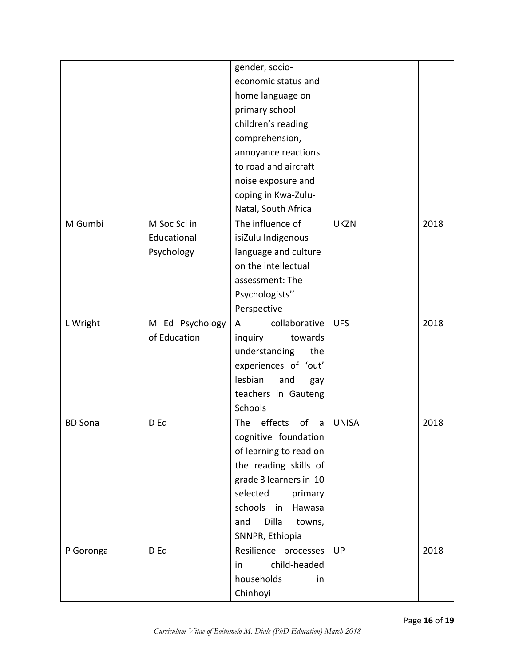|                |                 | gender, socio-            |              |      |
|----------------|-----------------|---------------------------|--------------|------|
|                |                 | economic status and       |              |      |
|                |                 | home language on          |              |      |
|                |                 | primary school            |              |      |
|                |                 | children's reading        |              |      |
|                |                 | comprehension,            |              |      |
|                |                 | annoyance reactions       |              |      |
|                |                 | to road and aircraft      |              |      |
|                |                 | noise exposure and        |              |      |
|                |                 | coping in Kwa-Zulu-       |              |      |
|                |                 | Natal, South Africa       |              |      |
| M Gumbi        | M Soc Sci in    | The influence of          | <b>UKZN</b>  | 2018 |
|                | Educational     | isiZulu Indigenous        |              |      |
|                | Psychology      | language and culture      |              |      |
|                |                 | on the intellectual       |              |      |
|                |                 | assessment: The           |              |      |
|                |                 | Psychologists"            |              |      |
|                |                 | Perspective               |              |      |
| L Wright       | M Ed Psychology | collaborative<br>A        | <b>UFS</b>   | 2018 |
|                | of Education    | inquiry<br>towards        |              |      |
|                |                 | understanding<br>the      |              |      |
|                |                 | experiences of 'out'      |              |      |
|                |                 | lesbian<br>and<br>gay     |              |      |
|                |                 | teachers in Gauteng       |              |      |
|                |                 | Schools                   |              |      |
| <b>BD</b> Sona | D Ed            | effects<br>The<br>of<br>a | <b>UNISA</b> | 2018 |
|                |                 | cognitive foundation      |              |      |
|                |                 | of learning to read on    |              |      |
|                |                 | the reading skills of     |              |      |
|                |                 | grade 3 learners in 10    |              |      |
|                |                 | selected<br>primary       |              |      |
|                |                 | schools<br>in<br>Hawasa   |              |      |
|                |                 | Dilla<br>and<br>towns,    |              |      |
|                |                 | SNNPR, Ethiopia           |              |      |
| P Goronga      | D Ed            | Resilience processes      | UP           | 2018 |
|                |                 | child-headed<br>in        |              |      |
|                |                 | households<br>in          |              |      |
|                |                 | Chinhoyi                  |              |      |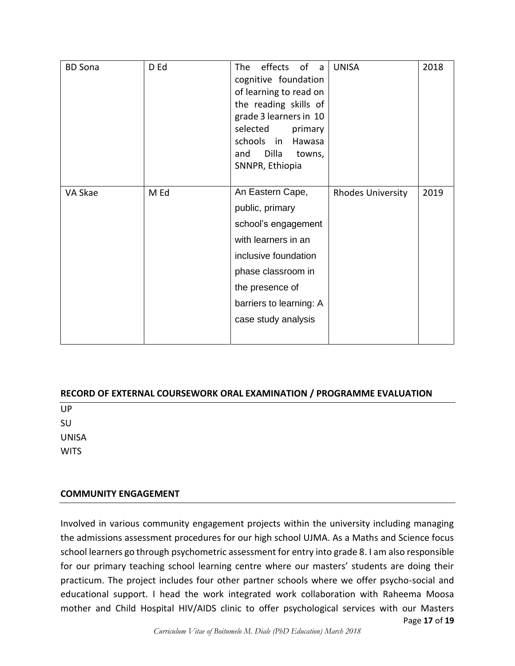|         | D Ed | effects<br>of<br><b>The</b><br>a a<br>cognitive foundation<br>of learning to read on<br>the reading skills of<br>grade 3 learners in 10<br>selected<br>primary<br>schools<br>in<br>Hawasa<br>Dilla<br>and<br>towns,<br>SNNPR, Ethiopia | <b>UNISA</b>             | 2018 |
|---------|------|----------------------------------------------------------------------------------------------------------------------------------------------------------------------------------------------------------------------------------------|--------------------------|------|
| VA Skae | M Ed | An Eastern Cape,<br>public, primary<br>school's engagement<br>with learners in an<br>inclusive foundation<br>phase classroom in<br>the presence of<br>barriers to learning: A<br>case study analysis                                   | <b>Rhodes University</b> | 2019 |

#### **RECORD OF EXTERNAL COURSEWORK ORAL EXAMINATION / PROGRAMME EVALUATION**

UP SU UNISA **WITS** 

#### **COMMUNITY ENGAGEMENT**

Page **17** of **19** Involved in various community engagement projects within the university including managing the admissions assessment procedures for our high school UJMA. As a Maths and Science focus school learners go through psychometric assessment for entry into grade 8. I am also responsible for our primary teaching school learning centre where our masters' students are doing their practicum. The project includes four other partner schools where we offer psycho-social and educational support. I head the work integrated work collaboration with Raheema Moosa mother and Child Hospital HIV/AIDS clinic to offer psychological services with our Masters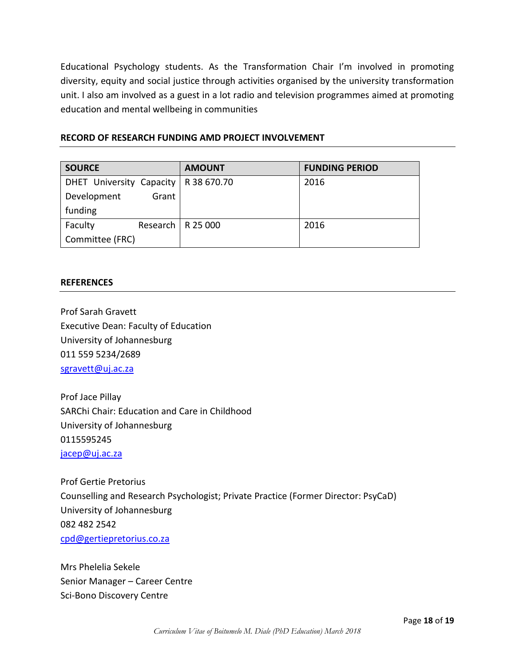Educational Psychology students. As the Transformation Chair I'm involved in promoting diversity, equity and social justice through activities organised by the university transformation unit. I also am involved as a guest in a lot radio and television programmes aimed at promoting education and mental wellbeing in communities

| RECORD OF RESEARCH FUNDING AMD PROJECT INVOLVEMENT |  |
|----------------------------------------------------|--|
|----------------------------------------------------|--|

| <b>SOURCE</b>            |       | <b>AMOUNT</b>       | <b>FUNDING PERIOD</b> |
|--------------------------|-------|---------------------|-----------------------|
| DHET University Capacity |       | R 38 670.70         | 2016                  |
| Development              | Grant |                     |                       |
| funding                  |       |                     |                       |
| Faculty                  |       | Research   R 25 000 | 2016                  |
| Committee (FRC)          |       |                     |                       |

#### **REFERENCES**

Prof Sarah Gravett Executive Dean: Faculty of Education University of Johannesburg 011 559 5234/2689 [sgravett@uj.ac.za](mailto:sgravett@uj.ac.za)

Prof Jace Pillay SARChi Chair: Education and Care in Childhood University of Johannesburg 0115595245 [jacep@uj.ac.za](mailto:jacep@uj.ac.za)

Prof Gertie Pretorius Counselling and Research Psychologist; Private Practice (Former Director: PsyCaD) University of Johannesburg 082 482 2542 [cpd@gertiepretorius.co.za](mailto:cpd@gertiepretorius.co.za)

Mrs Phelelia Sekele Senior Manager – Career Centre Sci-Bono Discovery Centre